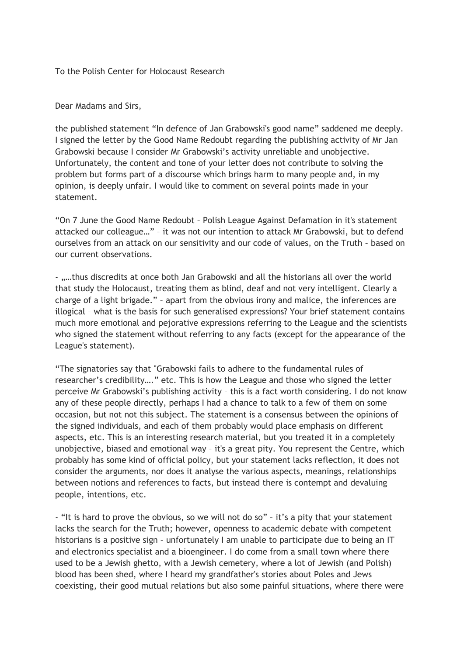To the Polish Center for Holocaust Research

Dear Madams and Sirs,

the published statement "In defence of Jan Grabowski's good name" saddened me deeply. I signed the letter by the Good Name Redoubt regarding the publishing activity of Mr Jan Grabowski because I consider Mr Grabowski's activity unreliable and unobjective. Unfortunately, the content and tone of your letter does not contribute to solving the problem but forms part of a discourse which brings harm to many people and, in my opinion, is deeply unfair. I would like to comment on several points made in your statement.

"On 7 June the Good Name Redoubt – Polish League Against Defamation in it's statement attacked our colleague…" – it was not our intention to attack Mr Grabowski, but to defend ourselves from an attack on our sensitivity and our code of values, on the Truth – based on our current observations.

- "…thus discredits at once both Jan Grabowski and all the historians all over the world that study the Holocaust, treating them as blind, deaf and not very intelligent. Clearly a charge of a light brigade." – apart from the obvious irony and malice, the inferences are illogical – what is the basis for such generalised expressions? Your brief statement contains much more emotional and pejorative expressions referring to the League and the scientists who signed the statement without referring to any facts (except for the appearance of the League's statement).

"The signatories say that "Grabowski fails to adhere to the fundamental rules of researcher's credibility…." etc. This is how the League and those who signed the letter perceive Mr Grabowski's publishing activity – this is a fact worth considering. I do not know any of these people directly, perhaps I had a chance to talk to a few of them on some occasion, but not not this subject. The statement is a consensus between the opinions of the signed individuals, and each of them probably would place emphasis on different aspects, etc. This is an interesting research material, but you treated it in a completely unobjective, biased and emotional way – it's a great pity. You represent the Centre, which probably has some kind of official policy, but your statement lacks reflection, it does not consider the arguments, nor does it analyse the various aspects, meanings, relationships between notions and references to facts, but instead there is contempt and devaluing people, intentions, etc.

- "It is hard to prove the obvious, so we will not do so" – it's a pity that your statement lacks the search for the Truth; however, openness to academic debate with competent historians is a positive sign – unfortunately I am unable to participate due to being an IT and electronics specialist and a bioengineer. I do come from a small town where there used to be a Jewish ghetto, with a Jewish cemetery, where a lot of Jewish (and Polish) blood has been shed, where I heard my grandfather's stories about Poles and Jews coexisting, their good mutual relations but also some painful situations, where there were